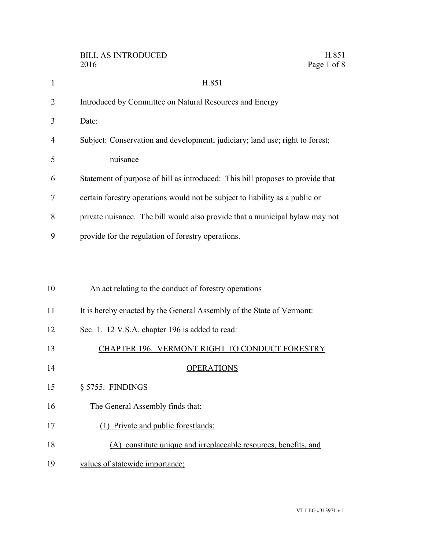|                | H.851<br><b>BILL AS INTRODUCED</b><br>Page 1 of 8<br>2016                      |
|----------------|--------------------------------------------------------------------------------|
| $\mathbf{1}$   | H.851                                                                          |
| $\overline{2}$ | Introduced by Committee on Natural Resources and Energy                        |
| 3              | Date:                                                                          |
| 4              | Subject: Conservation and development; judiciary; land use; right to forest;   |
| 5              | nuisance                                                                       |
| 6              | Statement of purpose of bill as introduced: This bill proposes to provide that |
| 7              | certain forestry operations would not be subject to liability as a public or   |
| 8              | private nuisance. The bill would also provide that a municipal bylaw may not   |
| 9              | provide for the regulation of forestry operations.                             |
|                |                                                                                |
|                |                                                                                |
| 10             | An act relating to the conduct of forestry operations                          |
| 11             | It is hereby enacted by the General Assembly of the State of Vermont:          |
| 12             | Sec. 1. 12 V.S.A. chapter 196 is added to read:                                |
| 13             | CHAPTER 196. VERMONT RIGHT TO CONDUCT FORESTRY                                 |
| 14             | <b>OPERATIONS</b>                                                              |
| 15             | § 5755. FINDINGS                                                               |
| 16             | The General Assembly finds that:                                               |
| 17             | (1) Private and public forestlands:                                            |
| 18             | (A) constitute unique and irreplaceable resources, benefits, and               |
| 19             | values of statewide importance;                                                |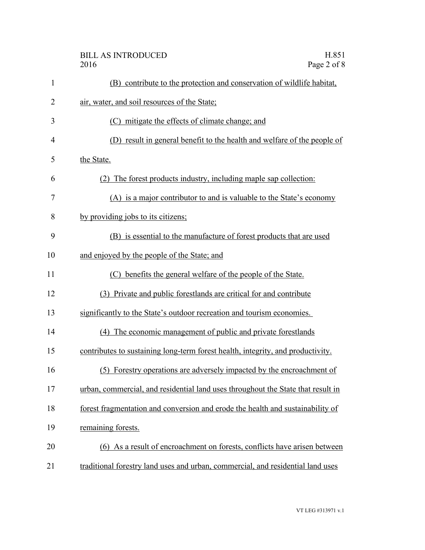|                | H.851<br><b>BILL AS INTRODUCED</b><br>Page 2 of 8<br>2016                        |
|----------------|----------------------------------------------------------------------------------|
| $\mathbf{1}$   | (B) contribute to the protection and conservation of wildlife habitat,           |
| $\overline{2}$ | air, water, and soil resources of the State;                                     |
| 3              | (C) mitigate the effects of climate change; and                                  |
| 4              | (D) result in general benefit to the health and welfare of the people of         |
| 5              | the State.                                                                       |
| 6              | (2) The forest products industry, including maple sap collection:                |
| 7              | (A) is a major contributor to and is valuable to the State's economy             |
| 8              | by providing jobs to its citizens;                                               |
| 9              | (B) is essential to the manufacture of forest products that are used             |
| 10             | and enjoyed by the people of the State; and                                      |
| 11             | (C) benefits the general welfare of the people of the State.                     |
| 12             | (3) Private and public forestlands are critical for and contribute               |
| 13             | significantly to the State's outdoor recreation and tourism economies.           |
| 14             | (4) The economic management of public and private forestlands                    |
| 15             | contributes to sustaining long-term forest health, integrity, and productivity.  |
| 16             | (5) Forestry operations are adversely impacted by the encroachment of            |
| 17             | urban, commercial, and residential land uses throughout the State that result in |
| 18             | forest fragmentation and conversion and erode the health and sustainability of   |
| 19             | remaining forests.                                                               |
| 20             | (6) As a result of encroachment on forests, conflicts have arisen between        |
| 21             | traditional forestry land uses and urban, commercial, and residential land uses  |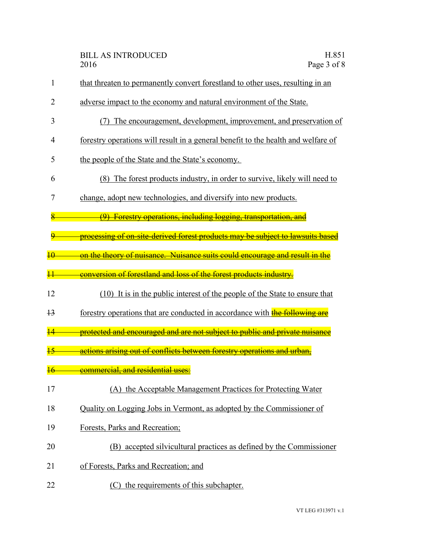| 1               | that threaten to permanently convert forestland to other uses, resulting in an    |
|-----------------|-----------------------------------------------------------------------------------|
| 2               | adverse impact to the economy and natural environment of the State.               |
| 3               | The encouragement, development, improvement, and preservation of<br>(7)           |
| 4               | forestry operations will result in a general benefit to the health and welfare of |
| 5               | the people of the State and the State's economy.                                  |
| 6               | (8) The forest products industry, in order to survive, likely will need to        |
| 7               | change, adopt new technologies, and diversify into new products.                  |
|                 | (9) Forestry operations, including logging, transportation, and                   |
|                 | processing of on-site-derived forest products may be subject to lawsuits base     |
|                 | on the theory of nuisance. Nuisance suits could encourage and result in the       |
|                 | conversion of forestland and loss of the forest products industry.                |
| 12              | (10) It is in the public interest of the people of the State to ensure that       |
| $\overline{13}$ | forestry operations that are conducted in accordance with the following are       |
|                 | protected and encouraged and are not subject to public and private nuisance       |
|                 | actions arising out of conflicts between forestry operations and urban,           |
|                 | <b>commercial, and residential us</b>                                             |
| 17              | (A) the Acceptable Management Practices for Protecting Water                      |
| 18              | Quality on Logging Jobs in Vermont, as adopted by the Commissioner of             |
| 19              | Forests, Parks and Recreation;                                                    |
| 20              | (B) accepted silvicultural practices as defined by the Commissioner               |
| 21              | of Forests, Parks and Recreation; and                                             |
| 22              | (C) the requirements of this subchapter.                                          |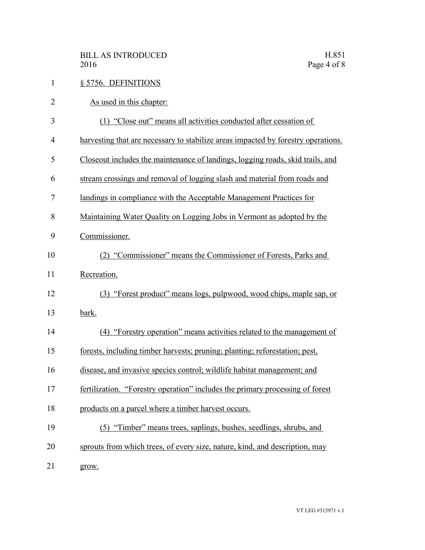| $\mathbf{1}$   | § 5756. DEFINITIONS                                                               |
|----------------|-----------------------------------------------------------------------------------|
| $\overline{2}$ | As used in this chapter:                                                          |
| 3              | (1) "Close out" means all activities conducted after cessation of                 |
| $\overline{4}$ | harvesting that are necessary to stabilize areas impacted by forestry operations. |
| 5              | Close out includes the maintenance of landings, logging roads, skid trails, and   |
| 6              | stream crossings and removal of logging slash and material from roads and         |
| 7              | landings in compliance with the Acceptable Management Practices for               |
| 8              | Maintaining Water Quality on Logging Jobs in Vermont as adopted by the            |
| 9              | Commissioner.                                                                     |
| 10             | (2) "Commissioner" means the Commissioner of Forests, Parks and                   |
| 11             | Recreation.                                                                       |
| 12             | (3) "Forest product" means logs, pulpwood, wood chips, maple sap, or              |
| 13             | bark.                                                                             |
| 14             | (4) "Forestry operation" means activities related to the management of            |
| 15             | forests, including timber harvests; pruning; planting; reforestation; pest,       |
| 16             | disease, and invasive species control; wildlife habitat management; and           |
| 17             | fertilization. "Forestry operation" includes the primary processing of forest     |
| 18             | products on a parcel where a timber harvest occurs.                               |
| 19             | (5) "Timber" means trees, saplings, bushes, seedlings, shrubs, and                |
| 20             | sprouts from which trees, of every size, nature, kind, and description, may       |
| 21             | grow.                                                                             |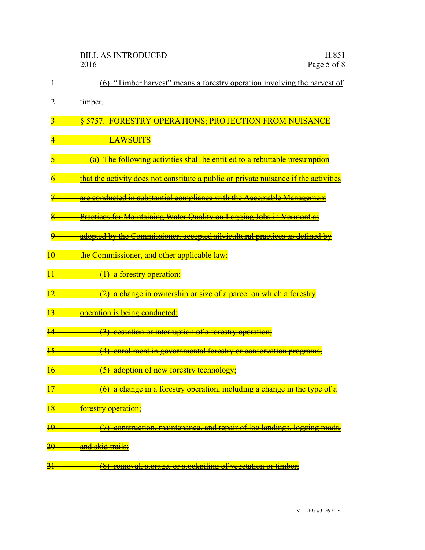|                 | H.851<br><b>BILL AS INTRODUCED</b><br>Page 5 of 8<br>2016                                         |
|-----------------|---------------------------------------------------------------------------------------------------|
| 1               | "Timber harvest" means a forestry operation involving the harvest of<br>(6)                       |
| 2               | timber.                                                                                           |
|                 | <u> OPER A TIONS - PROTECTION EROM NI IIS ANO</u><br><u>5757</u><br><b>DESTRV</b>                 |
|                 | <u>LAWSUITS</u>                                                                                   |
|                 | The following activities shall be entitled to a rebuttable presume                                |
|                 | that the activity does not constitute a public or private nuisance if the activities              |
|                 | are conducted in substantial compliance with the Acceptable Management                            |
|                 | <b>Practices for Maintaining Water Quality on Logging Jobs in Vermont as</b>                      |
|                 | adopted by the Commissioner, accepted silvicultural practices as defined by                       |
| $\overline{10}$ | <del>the Commissioner, and other applicable law:</del>                                            |
| $\overline{11}$ | a forestry operation;<br>$\Theta$                                                                 |
| $\overline{12}$ | a change in ownership or size of a parcel on which a forestry                                     |
| 13              | <del>operation is being conducted;</del>                                                          |
|                 | cessation or interruption of a forestry operation;                                                |
| $\overline{15}$ | <u>enrollment in governmental forestry or conservation programs</u>                               |
| $\frac{16}{5}$  | (5) adoption of new forestry technology;                                                          |
| $\overline{17}$ | a change in a forestry operation, including a change in the type of a<br>$\overline{6}$           |
| $\overline{18}$ | forestry operation;                                                                               |
| <u> 19</u>      | construction, maintenance, and repair of log landings, logging roads,<br>$\overline{\mathcal{D}}$ |
| $\overline{20}$ | and skid trails;                                                                                  |
| $\overline{21}$ | (8)<br>removal, storage, or stockpiling of vegetation or timber.                                  |
|                 |                                                                                                   |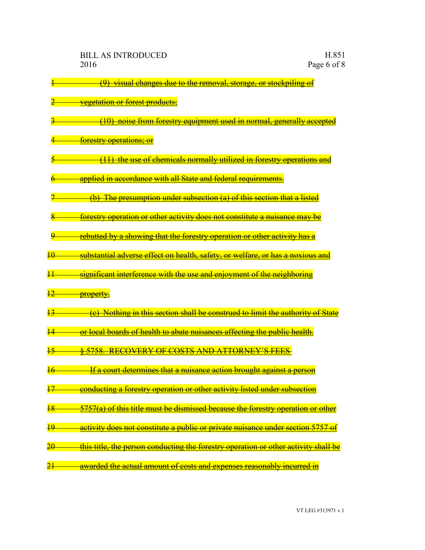1 (9) visual changes due to the removal, storage, or stockpiling of **Executed Constructs:** 3 (10) noise from forestry equipment used in normal, generally accepted 4 forestry operations; or 5 (11) the use of chemicals normally utilized in forestry operations and applied in accordance with all State and federal requirements. (b) The presumption under subsection (a) of this section that a listed forestry operation or other activity does not constitute a nuisance may be rebutted by a showing that the forestry operation or other activity has a 10 substantial adverse effect on health, safety, or welfare, or has a noxious and 11 significant interference with the use and enjoyment of the neighboring 12 **property.** (e) Nothing in this section shall be construed to limit the authority of State 14 **or local boards of health to abate nuisances affecting the public health.** 15 § 5758. RECOVERY OF COSTS AND ATTORNEY'S FEES 16 If a court determines that a nuisance action brought against a person 17 conducting a forestry operation or other activity listed under subsection 18 5757(a) of this title must be dismissed because the forestry operation or other 19 activity does not constitute a public or private nuisance under section 5757 of 20 this title, the person conducting the forestry operation or other activity shall be 21 **are awarded the actual amount of costs and expenses reasonably incurred in**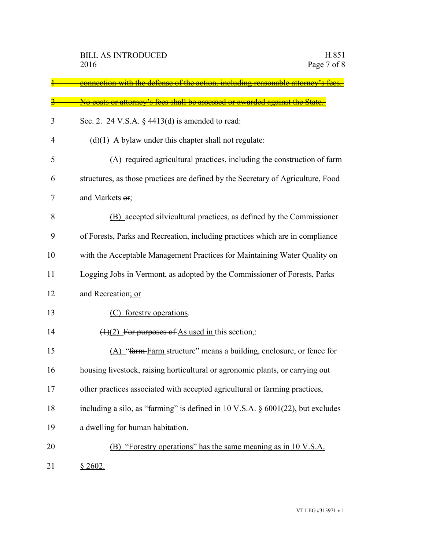|    | <u>connection with the defense of the action, including reasonable attorney</u>  |
|----|----------------------------------------------------------------------------------|
|    | No costs or attorney's fees shall be assessed or awarded against the State       |
| 3  | Sec. 2. 24 V.S.A. $\S$ 4413(d) is amended to read:                               |
| 4  | $(d)(1)$ A bylaw under this chapter shall not regulate:                          |
| 5  | (A) required agricultural practices, including the construction of farm          |
| 6  | structures, as those practices are defined by the Secretary of Agriculture, Food |
| 7  | and Markets or;                                                                  |
| 8  | (B) accepted silvicultural practices, as defined by the Commissioner             |
| 9  | of Forests, Parks and Recreation, including practices which are in compliance    |
| 10 | with the Acceptable Management Practices for Maintaining Water Quality on        |
| 11 | Logging Jobs in Vermont, as adopted by the Commissioner of Forests, Parks        |
| 12 | and Recreation; or                                                               |
| 13 | (C) forestry operations.                                                         |
| 14 | $(1)(2)$ For purposes of As used in this section,:                               |
| 15 | (A) "farm-Farm structure" means a building, enclosure, or fence for              |
| 16 | housing livestock, raising horticultural or agronomic plants, or carrying out    |
| 17 | other practices associated with accepted agricultural or farming practices,      |
| 18 | including a silo, as "farming" is defined in 10 V.S.A. § 6001(22), but excludes  |
| 19 | a dwelling for human habitation.                                                 |
| 20 | (B) "Forestry operations" has the same meaning as in 10 V.S.A.                   |
| 21 | \$2602.                                                                          |